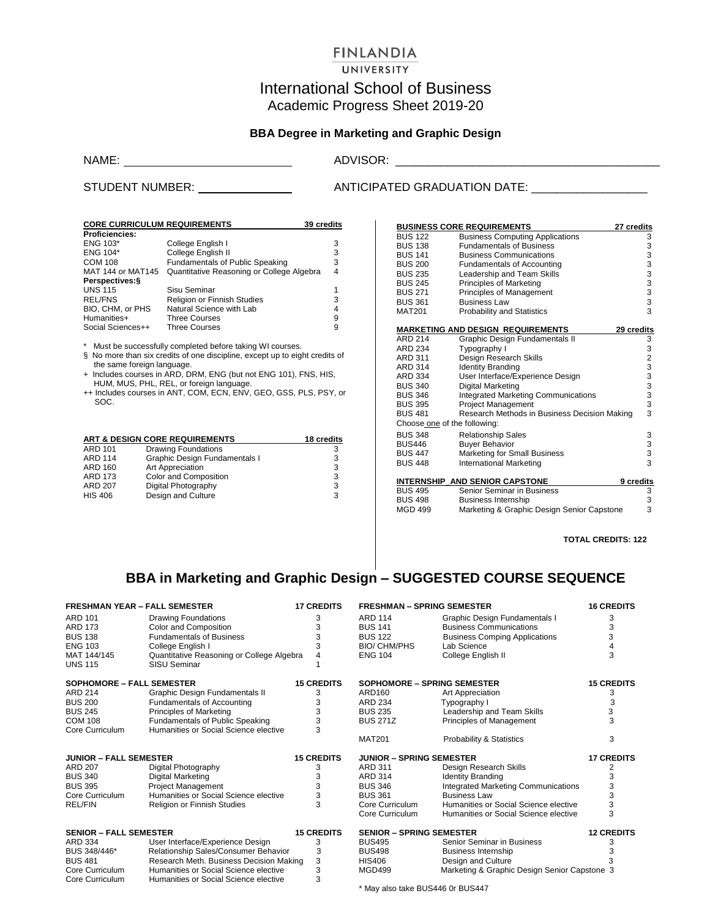## **FINLANDIA**

#### UNIVERSITY

# International School of Business Academic Progress Sheet 2019-20

## **BBA Degree in Marketing and Graphic Design**

NAME: ADVISOR: \_\_\_\_\_\_\_\_\_\_\_\_\_\_\_\_\_\_\_\_\_\_\_\_\_\_\_\_\_\_\_\_\_\_\_\_\_\_\_\_\_

#### STUDENT NUMBER: ANTICIPATED GRADUATION DATE: \_\_\_\_\_\_\_\_\_\_\_\_\_\_\_\_\_\_

| <b>CORE CURRICULUM REQUIREMENTS</b> |                                           | 39 credits |
|-------------------------------------|-------------------------------------------|------------|
| <b>Proficiencies:</b>               |                                           |            |
| ENG 103*                            | College English I                         | з          |
| ENG 104*                            | College English II                        | з          |
| <b>COM 108</b>                      | <b>Fundamentals of Public Speaking</b>    | 3          |
| MAT 144 or MAT145                   | Quantitative Reasoning or College Algebra | 4          |
| Perspectives: §                     |                                           |            |
| <b>UNS 115</b>                      | Sisu Seminar                              |            |
| <b>REL/FNS</b>                      | <b>Religion or Finnish Studies</b>        | з          |
| BIO, CHM, or PHS                    | Natural Science with Lab                  | 4          |
| Humanities+                         | <b>Three Courses</b>                      | 9          |
| Social Sciences++                   | <b>Three Courses</b>                      | 9          |

\* Must be successfully completed before taking WI courses.

- § No more than six credits of one discipline, except up to eight credits of the same foreign language.
- + Includes courses in ARD, DRM, ENG (but not ENG 101), FNS, HIS, HUM, MUS, PHL, REL, or foreign language.
- ++ Includes courses in ANT, COM, ECN, ENV, GEO, GSS, PLS, PSY, or SOC.

|                | <b>ART &amp; DESIGN CORE REQUIREMENTS</b> | 18 credits |
|----------------|-------------------------------------------|------------|
| <b>ARD 101</b> | <b>Drawing Foundations</b>                | 3          |
| <b>ARD 114</b> | Graphic Design Fundamentals I             | 3          |
| <b>ARD 160</b> | Art Appreciation                          | 3          |
| <b>ARD 173</b> | Color and Composition                     | 3          |
| <b>ARD 207</b> | Digital Photography                       | 3          |
| <b>HIS 406</b> | Design and Culture                        | 3          |

|                              | <b>BUSINESS CORE REQUIREMENTS</b>              | 27 credits                                 |
|------------------------------|------------------------------------------------|--------------------------------------------|
| <b>BUS 122</b>               | <b>Business Computing Applications</b>         |                                            |
| <b>BUS 138</b>               | <b>Fundamentals of Business</b>                | 3<br>3<br>3                                |
| <b>BUS 141</b>               | <b>Business Communications</b>                 |                                            |
| <b>BUS 200</b>               | <b>Fundamentals of Accounting</b>              | 3                                          |
| <b>BUS 235</b>               | Leadership and Team Skills                     | $\begin{array}{c} 3 \\ 3 \\ 3 \end{array}$ |
| <b>BUS 245</b>               | <b>Principles of Marketing</b>                 |                                            |
| <b>BUS 271</b>               | Principles of Management                       |                                            |
| <b>BUS 361</b>               | <b>Business Law</b>                            |                                            |
| <b>MAT201</b>                | <b>Probability and Statistics</b>              | 3                                          |
|                              |                                                |                                            |
| <b>ARD 214</b>               | <b>MARKETING AND DESIGN REQUIREMENTS</b>       | 29 credits                                 |
| ARD 234                      | Graphic Design Fundamentals II<br>Typography I | 3<br>3                                     |
| ARD 311                      | Design Research Skills                         |                                            |
| <b>ARD 314</b>               | <b>Identity Branding</b>                       | $\frac{2}{3}$                              |
| ARD 334                      | User Interface/Experience Design               |                                            |
| <b>BUS 340</b>               | Digital Marketing                              | $\frac{3}{3}$                              |
| <b>BUS 346</b>               | <b>Integrated Marketing Communications</b>     |                                            |
| <b>BUS 395</b>               | <b>Project Management</b>                      | 3<br>3                                     |
| <b>BUS 481</b>               | Research Methods in Business Decision Making   | 3                                          |
| Choose one of the following: |                                                |                                            |
| <b>BUS 348</b>               | <b>Relationship Sales</b>                      | 3                                          |
| BUS446                       | <b>Buyer Behavior</b>                          | 3                                          |
| <b>BUS 447</b>               | <b>Marketing for Small Business</b>            | $\frac{3}{3}$                              |
| <b>BUS 448</b>               | <b>International Marketing</b>                 |                                            |
|                              |                                                |                                            |
|                              | INTERNSHIP AND SENIOR CAPSTONE                 | 9 credits                                  |
| <b>BUS 495</b>               | Senior Seminar in Business                     | 3                                          |
| <b>BUS 498</b>               | <b>Business Internship</b>                     | 3                                          |
| <b>MGD 499</b>               | Marketing & Graphic Design Senior Capstone     | 3                                          |

**TOTAL CREDITS: 122**

# **BBA in Marketing and Graphic Design – SUGGESTED COURSE SEQUENCE**

| <b>FRESHMAN YEAR - FALL SEMESTER</b> |                                           | <b>17 CREDITS</b> | <b>FRESHMAN - SPRING SEMESTER</b> |                                              | <b>16 CREDITS</b> |
|--------------------------------------|-------------------------------------------|-------------------|-----------------------------------|----------------------------------------------|-------------------|
| <b>ARD 101</b>                       | <b>Drawing Foundations</b>                | 3                 | <b>ARD 114</b>                    | Graphic Design Fundamentals I                | 3                 |
| <b>ARD 173</b>                       | Color and Composition                     | 3                 | <b>BUS 141</b>                    | <b>Business Communications</b>               | 3                 |
| <b>BUS 138</b>                       | <b>Fundamentals of Business</b>           |                   | <b>BUS 122</b>                    | <b>Business Comping Applications</b>         |                   |
| <b>ENG 103</b>                       | College English I                         | 3                 | <b>BIO/ CHM/PHS</b>               | Lab Science                                  |                   |
| MAT 144/145                          | Quantitative Reasoning or College Algebra | 4                 | <b>ENG 104</b>                    | College English II                           | 3                 |
| <b>UNS 115</b>                       | SISU Seminar                              |                   |                                   |                                              |                   |
| <b>SOPHOMORE - FALL SEMESTER</b>     |                                           | <b>15 CREDITS</b> | SOPHOMORE - SPRING SEMESTER       |                                              | <b>15 CREDITS</b> |
| <b>ARD 214</b>                       | Graphic Design Fundamentals II            | 3                 | ARD160                            | Art Appreciation                             | 3                 |
| <b>BUS 200</b>                       | <b>Fundamentals of Accounting</b>         | 3                 | ARD 234                           | Typography I                                 |                   |
| <b>BUS 245</b>                       | Principles of Marketing                   |                   | <b>BUS 235</b>                    | Leadership and Team Skills                   |                   |
| <b>COM 108</b>                       | Fundamentals of Public Speaking           | 3                 | <b>BUS 271Z</b>                   | Principles of Management                     | 3                 |
| Core Curriculum                      | Humanities or Social Science elective     | 3                 |                                   |                                              |                   |
|                                      |                                           |                   | <b>MAT201</b>                     | Probability & Statistics                     | 3                 |
| <b>JUNIOR - FALL SEMESTER</b>        |                                           | <b>15 CREDITS</b> | <b>JUNIOR - SPRING SEMESTER</b>   |                                              | <b>17 CREDITS</b> |
| <b>ARD 207</b>                       | Digital Photography                       | 3                 | <b>ARD 311</b>                    | Design Research Skills                       |                   |
| <b>BUS 340</b>                       | Digital Marketing                         | 3                 | ARD 314                           | <b>Identity Branding</b>                     |                   |
| <b>BUS 395</b>                       | <b>Project Management</b>                 | 3                 | <b>BUS 346</b>                    | <b>Integrated Marketing Communications</b>   |                   |
| Core Curriculum                      | Humanities or Social Science elective     | 3                 | <b>BUS 361</b>                    | <b>Business Law</b>                          |                   |
| <b>REL/FIN</b>                       | Religion or Finnish Studies               | 3                 | Core Curriculum                   | Humanities or Social Science elective        | 3                 |
|                                      |                                           |                   | Core Curriculum                   | Humanities or Social Science elective        | 3                 |
| <b>SENIOR - FALL SEMESTER</b>        |                                           | <b>15 CREDITS</b> | <b>SENIOR - SPRING SEMESTER</b>   |                                              | <b>12 CREDITS</b> |
| <b>ARD 334</b>                       | User Interface/Experience Design          | 3                 | <b>BUS495</b>                     | Senior Seminar in Business                   |                   |
| BUS 348/446*                         | Relationship Sales/Consumer Behavior      | 3                 | <b>BUS498</b>                     | <b>Business Internship</b>                   |                   |
| <b>BUS 481</b>                       | Research Meth. Business Decision Making   | 3                 | <b>HIS406</b>                     | Design and Culture                           |                   |
| Core Curriculum                      | Humanities or Social Science elective     |                   | <b>MGD499</b>                     | Marketing & Graphic Design Senior Capstone 3 |                   |
| Core Curriculum                      | Humanities or Social Science elective     |                   |                                   |                                              |                   |

\* May also take BUS446 0r BUS447